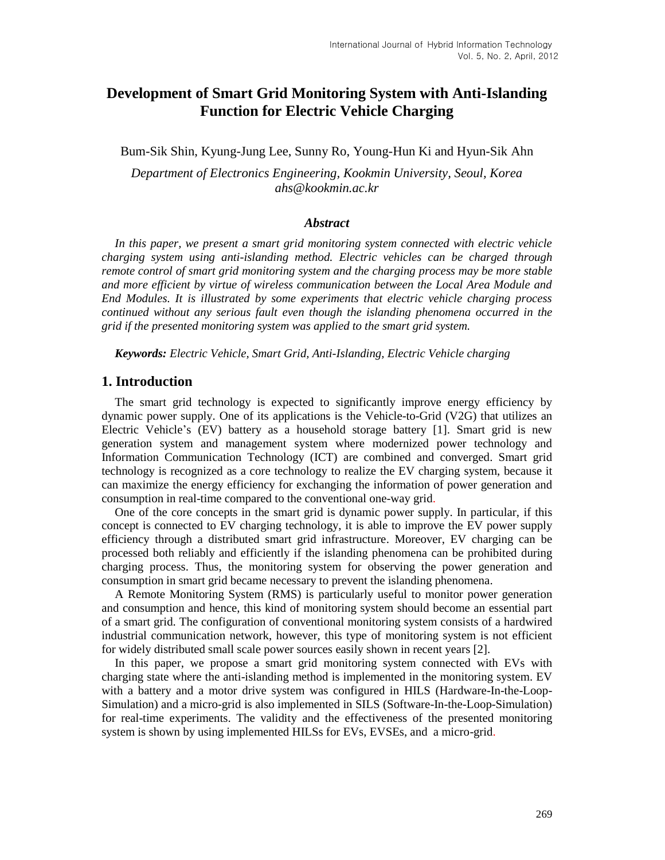# **Development of Smart Grid Monitoring System with Anti-Islanding Function for Electric Vehicle Charging**

Bum-Sik Shin, Kyung-Jung Lee, Sunny Ro, Young-Hun Ki and Hyun-Sik Ahn

*Department of Electronics Engineering, Kookmin University, Seoul, Korea ahs@kookmin.ac.kr*

#### *Abstract*

In this paper, we present a smart grid monitoring system connected with electric vehicle *charging system using anti-islanding method. Electric vehicles can be charged through remote control of smart grid monitoring system and the charging process may be more stable and more efficient by virtue of wireless communication between the Local Area Module and End Modules. It is illustrated by some experiments that electric vehicle charging process continued without any serious fault even though the islanding phenomena occurred in the grid if the presented monitoring system was applied to the smart grid system.*

*Keywords: Electric Vehicle, Smart Grid, Anti-Islanding, Electric Vehicle charging*

#### **1. Introduction**

The smart grid technology is expected to significantly improve energy efficiency by dynamic power supply. One of its applications is the Vehicle-to-Grid (V2G) that utilizes an Electric Vehicle's (EV) battery as a household storage battery [1]. Smart grid is new generation system and management system where modernized power technology and Information Communication Technology (ICT) are combined and converged. Smart grid technology is recognized as a core technology to realize the EV charging system, because it can maximize the energy efficiency for exchanging the information of power generation and consumption in real-time compared to the conventional one-way grid.

One of the core concepts in the smart grid is dynamic power supply. In particular, if this concept is connected to EV charging technology, it is able to improve the EV power supply efficiency through a distributed smart grid infrastructure. Moreover, EV charging can be processed both reliably and efficiently if the islanding phenomena can be prohibited during charging process. Thus, the monitoring system for observing the power generation and consumption in smart grid became necessary to prevent the islanding phenomena.

A Remote Monitoring System (RMS) is particularly useful to monitor power generation and consumption and hence, this kind of monitoring system should become an essential part of a smart grid. The configuration of conventional monitoring system consists of a hardwired industrial communication network, however, this type of monitoring system is not efficient for widely distributed small scale power sources easily shown in recent years [2].

In this paper, we propose a smart grid monitoring system connected with EVs with charging state where the anti-islanding method is implemented in the monitoring system. EV with a battery and a motor drive system was configured in HILS (Hardware-In-the-Loop-Simulation) and a micro-grid is also implemented in SILS (Software-In-the-Loop-Simulation) for real-time experiments. The validity and the effectiveness of the presented monitoring system is shown by using implemented HILSs for EVs, EVSEs, and a micro-grid.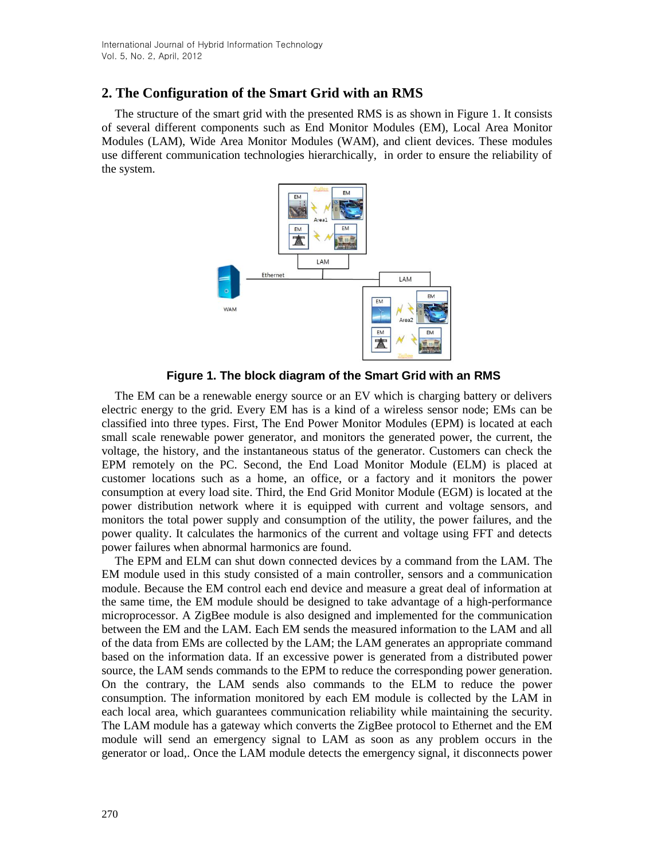## **2. The Configuration of the Smart Grid with an RMS**

The structure of the smart grid with the presented RMS is as shown in Figure 1. It consists of several different components such as End Monitor Modules (EM), Local Area Monitor Modules (LAM), Wide Area Monitor Modules (WAM), and client devices. These modules use different communication technologies hierarchically, in order to ensure the reliability of the system.



**Figure 1. The block diagram of the Smart Grid with an RMS**

The EM can be a renewable energy source or an EV which is charging battery or delivers electric energy to the grid. Every EM has is a kind of a wireless sensor node; EMs can be classified into three types. First, The End Power Monitor Modules (EPM) is located at each small scale renewable power generator, and monitors the generated power, the current, the voltage, the history, and the instantaneous status of the generator. Customers can check the EPM remotely on the PC. Second, the End Load Monitor Module (ELM) is placed at customer locations such as a home, an office, or a factory and it monitors the power consumption at every load site. Third, the End Grid Monitor Module (EGM) is located at the power distribution network where it is equipped with current and voltage sensors, and monitors the total power supply and consumption of the utility, the power failures, and the power quality. It calculates the harmonics of the current and voltage using FFT and detects power failures when abnormal harmonics are found.

The EPM and ELM can shut down connected devices by a command from the LAM. The EM module used in this study consisted of a main controller, sensors and a communication module. Because the EM control each end device and measure a great deal of information at the same time, the EM module should be designed to take advantage of a high-performance microprocessor. A ZigBee module is also designed and implemented for the communication between the EM and the LAM. Each EM sends the measured information to the LAM and all of the data from EMs are collected by the LAM; the LAM generates an appropriate command based on the information data. If an excessive power is generated from a distributed power source, the LAM sends commands to the EPM to reduce the corresponding power generation. On the contrary, the LAM sends also commands to the ELM to reduce the power consumption. The information monitored by each EM module is collected by the LAM in each local area, which guarantees communication reliability while maintaining the security. The LAM module has a gateway which converts the ZigBee protocol to Ethernet and the EM module will send an emergency signal to LAM as soon as any problem occurs in the generator or load,. Once the LAM module detects the emergency signal, it disconnects power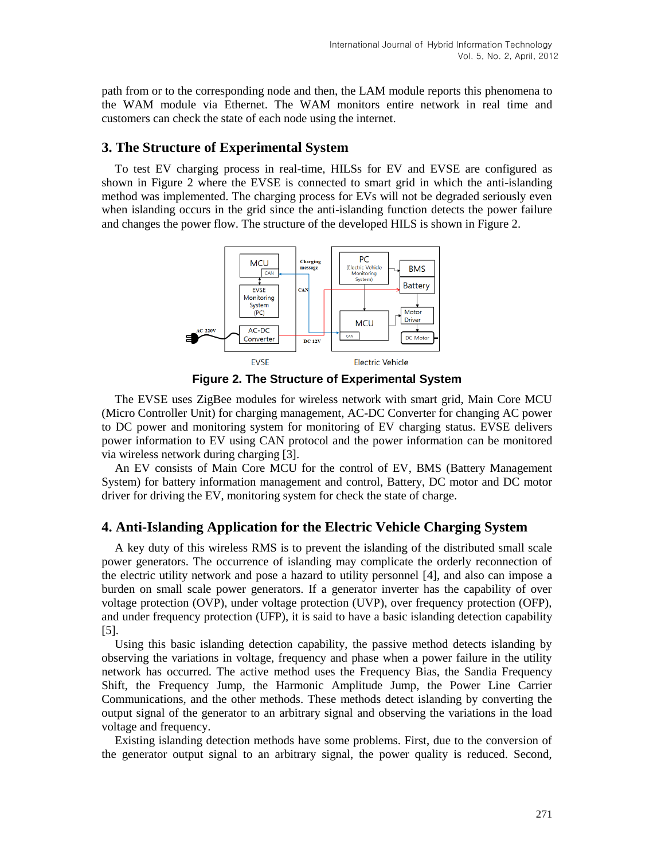path from or to the corresponding node and then, the LAM module reports this phenomena to the WAM module via Ethernet. The WAM monitors entire network in real time and customers can check the state of each node using the internet.

### **3. The Structure of Experimental System**

To test EV charging process in real-time, HILSs for EV and EVSE are configured as shown in Figure 2 where the EVSE is connected to smart grid in which the anti-islanding method was implemented. The charging process for EVs will not be degraded seriously even when islanding occurs in the grid since the anti-islanding function detects the power failure and changes the power flow. The structure of the developed HILS is shown in Figure 2.



**Figure 2. The Structure of Experimental System**

The EVSE uses ZigBee modules for wireless network with smart grid, Main Core MCU (Micro Controller Unit) for charging management, AC-DC Converter for changing AC power to DC power and monitoring system for monitoring of EV charging status. EVSE delivers power information to EV using CAN protocol and the power information can be monitored via wireless network during charging [3].

An EV consists of Main Core MCU for the control of EV, BMS (Battery Management System) for battery information management and control, Battery, DC motor and DC motor driver for driving the EV, monitoring system for check the state of charge.

### **4. Anti-Islanding Application for the Electric Vehicle Charging System**

A key duty of this wireless RMS is to prevent the islanding of the distributed small scale power generators. The occurrence of islanding may complicate the orderly reconnection of the electric utility network and pose a hazard to utility personnel [4], and also can impose a burden on small scale power generators. If a generator inverter has the capability of over voltage protection (OVP), under voltage protection (UVP), over frequency protection (OFP), and under frequency protection (UFP), it is said to have a basic islanding detection capability [5].

Using this basic islanding detection capability, the passive method detects islanding by observing the variations in voltage, frequency and phase when a power failure in the utility network has occurred. The active method uses the Frequency Bias, the Sandia Frequency Shift, the Frequency Jump, the Harmonic Amplitude Jump, the Power Line Carrier Communications, and the other methods. These methods detect islanding by converting the output signal of the generator to an arbitrary signal and observing the variations in the load voltage and frequency.

Existing islanding detection methods have some problems. First, due to the conversion of the generator output signal to an arbitrary signal, the power quality is reduced. Second,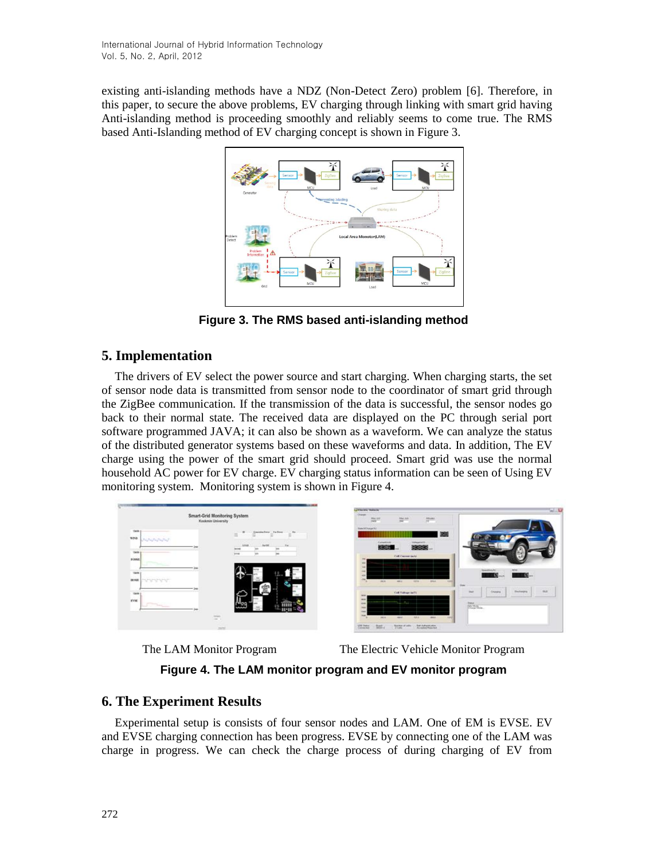existing anti-islanding methods have a NDZ (Non-Detect Zero) problem [6]. Therefore, in this paper, to secure the above problems, EV charging through linking with smart grid having Anti-islanding method is proceeding smoothly and reliably seems to come true. The RMS based Anti-Islanding method of EV charging concept is shown in Figure 3.



**Figure 3. The RMS based anti-islanding method**

## **5. Implementation**

The drivers of EV select the power source and start charging. When charging starts, the set of sensor node data is transmitted from sensor node to the coordinator of smart grid through the ZigBee communication. If the transmission of the data is successful, the sensor nodes go back to their normal state. The received data are displayed on the PC through serial port software programmed JAVA; it can also be shown as a waveform. We can analyze the status of the distributed generator systems based on these waveforms and data. In addition, The EV charge using the power of the smart grid should proceed. Smart grid was use the normal household AC power for EV charge. EV charging status information can be seen of Using EV monitoring system. Monitoring system is shown in Figure 4.





The LAM Monitor Program The Electric Vehicle Monitor Program

**Figure 4. The LAM monitor program and EV monitor program**

## **6. The Experiment Results**

Experimental setup is consists of four sensor nodes and LAM. One of EM is EVSE. EV and EVSE charging connection has been progress. EVSE by connecting one of the LAM was charge in progress. We can check the charge process of during charging of EV from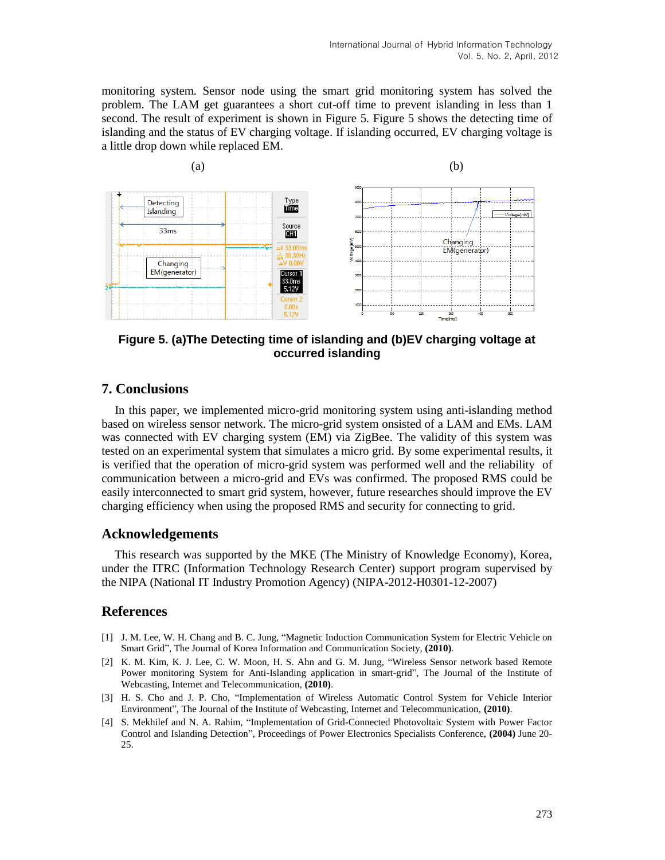monitoring system. Sensor node using the smart grid monitoring system has solved the problem. The LAM get guarantees a short cut-off time to prevent islanding in less than 1 second. The result of experiment is shown in Figure 5. Figure 5 shows the detecting time of islanding and the status of EV charging voltage. If islanding occurred, EV charging voltage is a little drop down while replaced EM.



**Figure 5. (a)The Detecting time of islanding and (b)EV charging voltage at occurred islanding**

### **7. Conclusions**

In this paper, we implemented micro-grid monitoring system using anti-islanding method based on wireless sensor network. The micro-grid system onsisted of a LAM and EMs. LAM was connected with EV charging system (EM) via ZigBee. The validity of this system was tested on an experimental system that simulates a micro grid. By some experimental results, it is verified that the operation of micro-grid system was performed well and the reliability of communication between a micro-grid and EVs was confirmed. The proposed RMS could be easily interconnected to smart grid system, however, future researches should improve the EV charging efficiency when using the proposed RMS and security for connecting to grid.

### **Acknowledgements**

This research was supported by the MKE (The Ministry of Knowledge Economy), Korea, under the ITRC (Information Technology Research Center) support program supervised by the NIPA (National IT Industry Promotion Agency) (NIPA-2012-H0301-12-2007)

### **References**

- [1] J. M. Lee, W. H. Chang and B. C. Jung, "Magnetic Induction Communication System for Electric Vehicle on Smart Grid", The Journal of Korea Information and Communication Society, **(2010)**.
- [2] K. M. Kim, K. J. Lee, C. W. Moon, H. S. Ahn and G. M. Jung, "Wireless Sensor network based Remote Power monitoring System for Anti-Islanding application in smart-grid", The Journal of the Institute of Webcasting, Internet and Telecommunication, **(2010)**.
- [3] H. S. Cho and J. P. Cho, "Implementation of Wireless Automatic Control System for Vehicle Interior Environment", The Journal of the Institute of Webcasting, Internet and Telecommunication, **(2010)**.
- [4] S. Mekhilef and N. A. Rahim, "Implementation of Grid-Connected Photovoltaic System with Power Factor Control and Islanding Detection", Proceedings of Power Electronics Specialists Conference, **(2004)** June 20- 25.